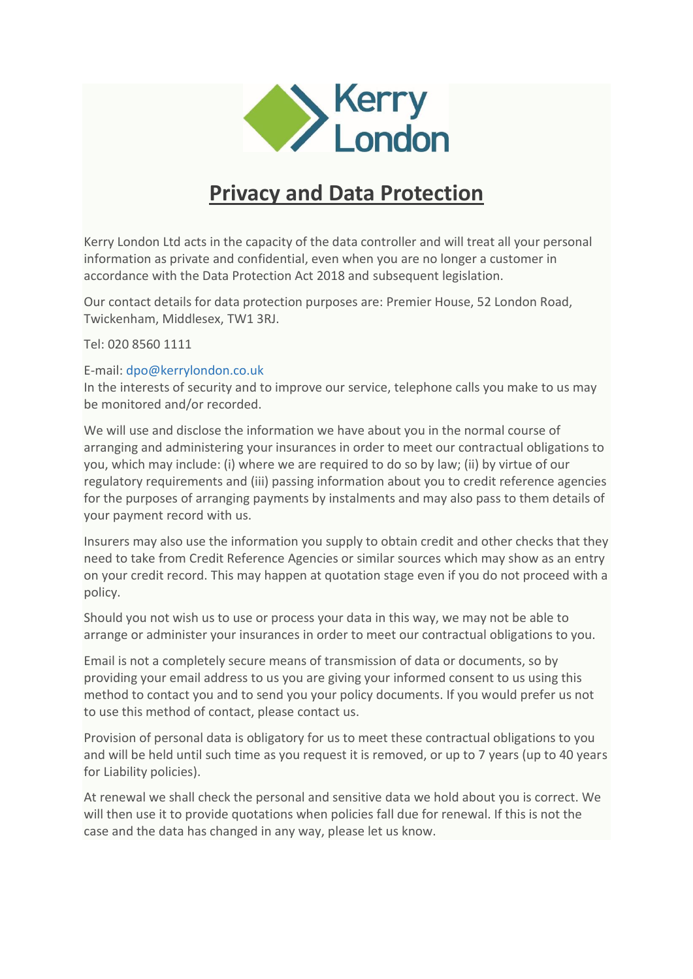

## **Privacy and Data Protection**

Kerry London Ltd acts in the capacity of the data controller and will treat all your personal information as private and confidential, even when you are no longer a customer in accordance with the Data Protection Act 2018 and subsequent legislation.

Our contact details for data protection purposes are: Premier House, 52 London Road, Twickenham, Middlesex, TW1 3RJ.

Tel: 020 8560 1111

## E-mail: [dpo@kerrylondon.co.uk](mailto:dpo@kerrylondon.co.uk)

In the interests of security and to improve our service, telephone calls you make to us may be monitored and/or recorded.

We will use and disclose the information we have about you in the normal course of arranging and administering your insurances in order to meet our contractual obligations to you, which may include: (i) where we are required to do so by law; (ii) by virtue of our regulatory requirements and (iii) passing information about you to credit reference agencies for the purposes of arranging payments by instalments and may also pass to them details of your payment record with us.

Insurers may also use the information you supply to obtain credit and other checks that they need to take from Credit Reference Agencies or similar sources which may show as an entry on your credit record. This may happen at quotation stage even if you do not proceed with a policy.

Should you not wish us to use or process your data in this way, we may not be able to arrange or administer your insurances in order to meet our contractual obligations to you.

Email is not a completely secure means of transmission of data or documents, so by providing your email address to us you are giving your informed consent to us using this method to contact you and to send you your policy documents. If you would prefer us not to use this method of contact, please contact us.

Provision of personal data is obligatory for us to meet these contractual obligations to you and will be held until such time as you request it is removed, or up to 7 years (up to 40 years for Liability policies).

At renewal we shall check the personal and sensitive data we hold about you is correct. We will then use it to provide quotations when policies fall due for renewal. If this is not the case and the data has changed in any way, please let us know.